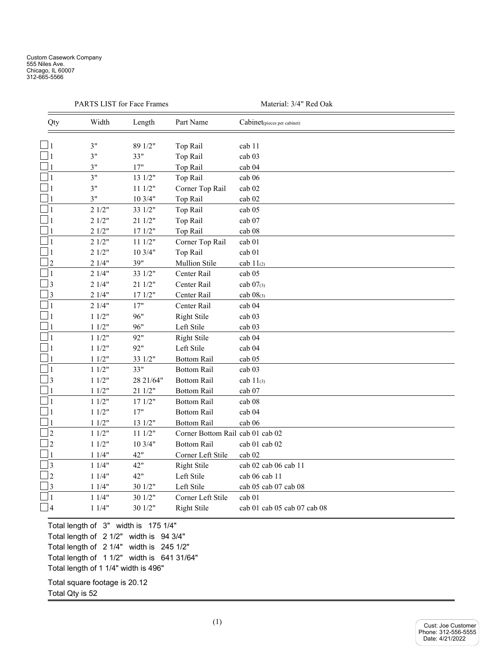|                | PARTS LIST for Face Frames |           | Material: 3/4" Red Oak           |                             |  |
|----------------|----------------------------|-----------|----------------------------------|-----------------------------|--|
| Qty            | Width                      | Length    | Part Name                        | Cabinet(pieces per cabinet) |  |
|                | 3"                         | 89 1/2"   | Top Rail                         | cab 11                      |  |
| 1              | 3"                         | 33"       | Top Rail                         | cab <sub>03</sub>           |  |
|                | 3"                         | 17"       | Top Rail                         | cab 04                      |  |
| $\mathbf{1}$   | 3"                         | 13 1/2"   | Top Rail                         | cab 06                      |  |
| 1              | 3"                         | 111/2"    | Corner Top Rail                  | cab 02                      |  |
|                | 3"                         | 103/4"    | Top Rail                         | cab 02                      |  |
|                | 21/2"                      | 33 1/2"   | Top Rail                         | cab 05                      |  |
|                | 21/2"                      | 21 1/2"   | Top Rail                         | cab 07                      |  |
|                | 21/2"                      | 171/2"    | Top Rail                         | cab 08                      |  |
| 1              | 21/2"                      | 111/2"    | Corner Top Rail                  | cab 01                      |  |
| 1              | 21/2"                      | 10 3/4"   | Top Rail                         | cab 01                      |  |
| $\overline{2}$ | 21/4"                      | 39"       | Mullion Stile                    | cab $11_{(2)}$              |  |
| $\mathbf{1}$   | 21/4"                      | 33 1/2"   | Center Rail                      | cab 05                      |  |
| 3              | 21/4"                      | 21 1/2"   | Center Rail                      | cab 07(3)                   |  |
| 3              | 21/4"                      | 171/2"    | Center Rail                      | cab 08(3)                   |  |
| 1              | 21/4"                      | 17"       | Center Rail                      | cab 04                      |  |
| 1              | 11/2"                      | 96"       | <b>Right Stile</b>               | cab 03                      |  |
|                | 11/2"                      | 96"       | Left Stile                       | cab 03                      |  |
| 1              | 11/2"                      | 92"       | Right Stile                      | cab 04                      |  |
| 1              | 11/2"                      | 92"       | Left Stile                       | cab 04                      |  |
|                | 11/2"                      | 33 1/2"   | <b>Bottom Rail</b>               | cab 05                      |  |
| $\mathbf{1}$   | 11/2"                      | 33"       | <b>Bottom Rail</b>               | cab 03                      |  |
| 3              | 11/2"                      | 28 21/64" | <b>Bottom Rail</b>               | cab $11_{(3)}$              |  |
|                | 11/2"                      | 21 1/2"   | <b>Bottom Rail</b>               | cab 07                      |  |
|                | 11/2"                      | 171/2"    | <b>Bottom Rail</b>               | cab 08                      |  |
| 1              | 11/2"                      | 17"       | <b>Bottom Rail</b>               | cab 04                      |  |
|                | 11/2"                      | 13 1/2"   | <b>Bottom Rail</b>               | cab 06                      |  |
| $\overline{2}$ | 11/2"                      | 111/2"    | Corner Bottom Rail cab 01 cab 02 |                             |  |
| $\overline{2}$ | 11/2"                      | 10 3/4"   | <b>Bottom Rail</b>               | cab 01 cab 02               |  |
|                | 11/4"                      | 42"       | Corner Left Stile                | cab 02                      |  |
| $\overline{3}$ | 11/4"                      | 42"       | <b>Right Stile</b>               | cab 02 cab 06 cab 11        |  |
| $\overline{2}$ | 11/4"                      | 42"       | Left Stile                       | cab 06 cab 11               |  |
| 3              | 11/4"                      | 30 1/2"   | Left Stile                       | cab 05 cab 07 cab 08        |  |
| $\mathbf{1}$   | 11/4"                      | 30 1/2"   | Corner Left Stile                | cab 01                      |  |
| $\overline{4}$ | 11/4"                      | 30 1/2"   | <b>Right Stile</b>               | cab 01 cab 05 cab 07 cab 08 |  |

Total length of 3" width is 175 1/4" Total length of 2 1/2" width is 94 3/4" Total length of 2 1/4" width is 245 1/2" Total length of 1 1/2" width is 641 31/64" Total length of 1 1/4" width is 496"

Total square footage is 20.12 Total Qty is 52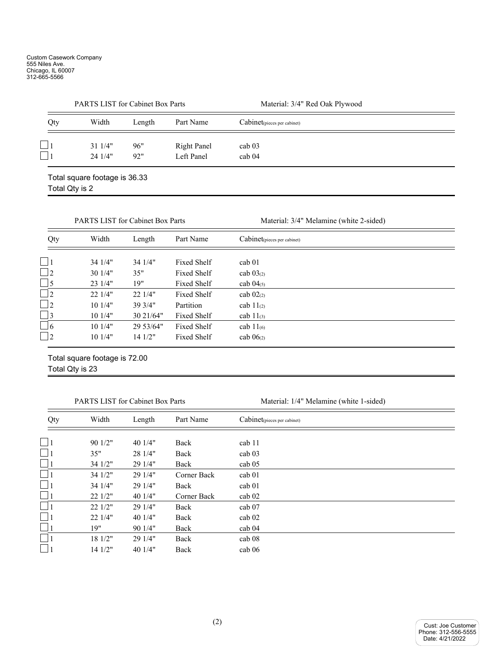|     | <b>PARTS LIST for Cabinet Box Parts</b> |        |                    | Material: 3/4" Red Oak Plywood |  |  |  |
|-----|-----------------------------------------|--------|--------------------|--------------------------------|--|--|--|
| Qty | Width                                   | Length | Part Name          | Cabinet(pieces per cabinet)    |  |  |  |
|     | $31 \frac{1}{4}$                        | 96"    | <b>Right Panel</b> | cab <sub>03</sub>              |  |  |  |
|     | 241/4"                                  | 92"    | Left Panel         | cab <sub>04</sub>              |  |  |  |
|     | Total square footage is 36.33           |        |                    |                                |  |  |  |

Total Qty is 2

|           | <b>PARTS LIST for Cabinet Box Parts</b> |           |             | Material: 3/4" Melamine (white 2-sided) |  |
|-----------|-----------------------------------------|-----------|-------------|-----------------------------------------|--|
| Qty       | Width                                   | Length    | Part Name   | Cabinet(pieces per cabinet)             |  |
|           | 34 1/4"                                 | 34 1/4"   | Fixed Shelf | cab <sub>01</sub>                       |  |
| $\Box$ 2  | 301/4"                                  | 35"       | Fixed Shelf | cab $03(2)$                             |  |
| $\Box$ 5  | 231/4"                                  | 19"       | Fixed Shelf | cab $04_{(5)}$                          |  |
| $\Box$ 2  | 22.1/4"                                 | 221/4"    | Fixed Shelf | cab $02_{(2)}$                          |  |
| $\vert$ 2 | 101/4"                                  | 39 3/4"   | Partition   | cab $11_{(2)}$                          |  |
| $\Box$ 3  | 101/4"                                  | 30 21/64" | Fixed Shelf | cab $11_{(3)}$                          |  |
| $-6$      | 101/4"                                  | 29 53/64" | Fixed Shelf | cab $11_{(6)}$                          |  |
| $\vert$ 2 | 101/4"                                  | 141/2"    | Fixed Shelf | cab $06(2)$                             |  |

Total square footage is 72.00 Total Qty is 23

PARTS LIST for Cabinet Box Parts Material: 1/4" Melamine (white 1-sided)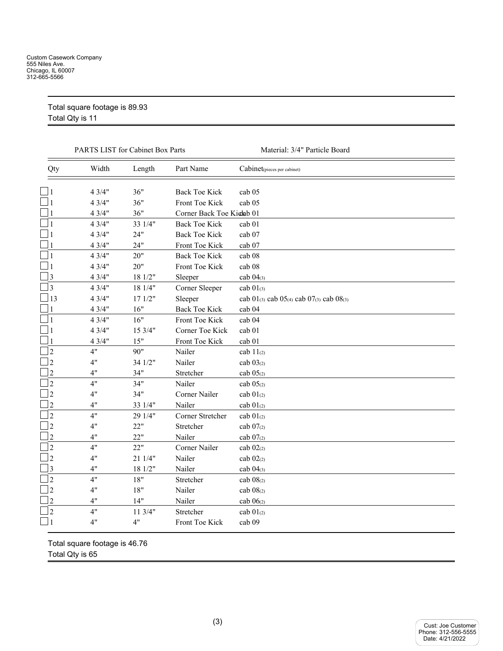| Total square footage is 89.93 |  |
|-------------------------------|--|
| Total Otvic 11                |  |

Total Qty is 11

|                | PARTS LIST for Cabinet Box Parts |         |                                        | Material: 3/4" Particle Board                               |
|----------------|----------------------------------|---------|----------------------------------------|-------------------------------------------------------------|
| Qty            | Width                            | Length  | Part Name                              | Cabinet <sub>(pieces per cabinet)</sub>                     |
|                | 43/4"                            | 36"     |                                        |                                                             |
|                | 43/4"                            | 36"     | <b>Back Toe Kick</b><br>Front Toe Kick | cab 05<br>cab 05                                            |
|                | 43/4"                            | 36"     | Corner Back Toe Kiclab 01              |                                                             |
| 1              | 43/4"                            | 33 1/4" | <b>Back Toe Kick</b>                   |                                                             |
|                |                                  |         |                                        | cab <sub>01</sub>                                           |
|                | 43/4"                            | 24"     | <b>Back Toe Kick</b>                   | cab 07                                                      |
|                | 43/4"                            | 24"     | Front Toe Kick                         | cab 07                                                      |
| $\mathbf{1}$   | 43/4"                            | 20"     | <b>Back Toe Kick</b>                   | cab 08                                                      |
|                | 43/4"                            | 20"     | Front Toe Kick                         | cab 08                                                      |
| $\overline{3}$ | 43/4"                            | 18 1/2" | Sleeper                                | cab $04_{(3)}$                                              |
| 3              | 43/4"                            | 18 1/4" | Corner Sleeper                         | cab $01_{(3)}$                                              |
| 13             | 43/4"                            | 171/2"  | Sleeper                                | cab $01_{(3)}$ cab $05_{(4)}$ cab $07_{(3)}$ cab $08_{(3)}$ |
|                | 43/4"                            | 16"     | <b>Back Toe Kick</b>                   | cab 04                                                      |
| $\mathbf{1}$   | 43/4"                            | 16"     | Front Toe Kick                         | cab 04                                                      |
|                | 43/4"                            | 15 3/4" | Corner Toe Kick                        | cab 01                                                      |
|                | 43/4"                            | 15"     | Front Toe Kick                         | cab 01                                                      |
| $\overline{2}$ | 4"                               | 90"     | Nailer                                 | cab $11_{(2)}$                                              |
| $\overline{2}$ | 4"                               | 34 1/2" | Nailer                                 | $cab\ 03_{(2)}$                                             |
| $\overline{2}$ | 4"                               | 34"     | Stretcher                              | cab 05 <sub>(2)</sub>                                       |
| $\overline{2}$ | 4"                               | 34"     | Nailer                                 | cab 05 <sub>(2)</sub>                                       |
| $\overline{2}$ | 4"                               | 34"     | Corner Nailer                          | cab $01_{(2)}$                                              |
| $\overline{2}$ | 4"                               | 33 1/4" | Nailer                                 | cab $01(2)$                                                 |
| $\overline{2}$ | 4"                               | 29 1/4" | Corner Stretcher                       | cab $01_{(2)}$                                              |
| $\overline{2}$ | 4"                               | 22"     | Stretcher                              | cab 07(2)                                                   |
| $\overline{2}$ | 4"                               | 22"     | Nailer                                 | cab 07(2)                                                   |
| $\overline{2}$ | 4"                               | 22"     | Corner Nailer                          | cab $02(2)$                                                 |
| $\overline{2}$ | 4"                               | 21 1/4" | Nailer                                 | cab $02_{(2)}$                                              |
| 3              | 4"                               | 18 1/2" | Nailer                                 | cab $04_{(3)}$                                              |
| $\overline{2}$ | 4"                               | 18"     | Stretcher                              | cab 08(2)                                                   |
| $\overline{2}$ | 4"                               | 18"     | Nailer                                 | cab 08(2)                                                   |
| $\overline{2}$ | 4"                               | 14"     | Nailer                                 | cab 06 <sub>(2)</sub>                                       |
| $\overline{2}$ | 4"                               | 113/4"  | Stretcher                              | cab $01(2)$                                                 |
| 1              | 4"                               | 4"      | Front Toe Kick                         | cab 09                                                      |
|                |                                  |         |                                        |                                                             |

Total square footage is 46.76 Total Qty is 65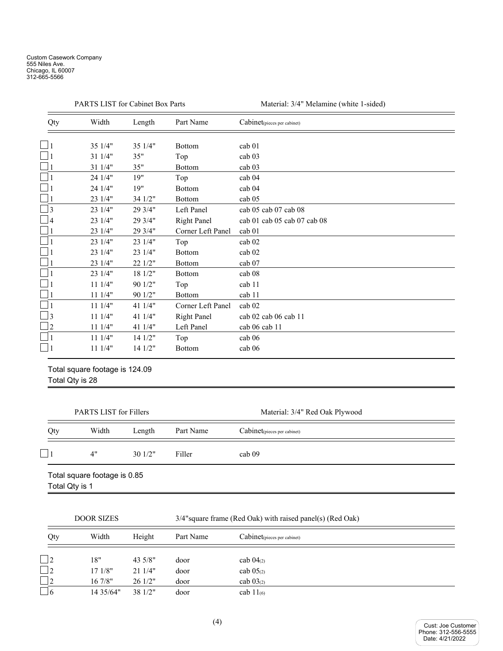|                | <b>PARTS LIST for Cabinet Box Parts</b>           |         |                    | Material: 3/4" Melamine (white 1-sided) |  |
|----------------|---------------------------------------------------|---------|--------------------|-----------------------------------------|--|
| Qty            | Width                                             | Length  | Part Name          | Cabinet <sub>(pieces per cabinet)</sub> |  |
| $\blacksquare$ | 35 1/4"                                           | 35 1/4" | <b>Bottom</b>      | cab 01                                  |  |
|                | 31 1/4"                                           | 35"     | Top                | cab 03                                  |  |
|                | 31 1/4"                                           | 35"     | <b>Bottom</b>      | cab 03                                  |  |
|                | 24 1/4"                                           | 19"     | Top                | cab 04                                  |  |
|                | 24 1/4"                                           | 19"     | Bottom             | cab 04                                  |  |
|                | 23 1/4"                                           | 34 1/2" | <b>Bottom</b>      | cab 05                                  |  |
| $\overline{3}$ | 23 1/4"                                           | 29 3/4" | Left Panel         | cab 05 cab 07 cab 08                    |  |
| $\overline{4}$ | 23 1/4"                                           | 29 3/4" | <b>Right Panel</b> | cab 01 cab 05 cab 07 cab 08             |  |
|                | 23 1/4"                                           | 29 3/4" | Corner Left Panel  | cab 01                                  |  |
|                | 23 1/4"                                           | 23 1/4" | Top                | cab 02                                  |  |
|                | 23 1/4"                                           | 23 1/4" | Bottom             | cab <sub>02</sub>                       |  |
|                | 23 1/4"                                           | 22 1/2" | <b>Bottom</b>      | cab 07                                  |  |
|                | 23 1/4"                                           | 18 1/2" | <b>Bottom</b>      | cab 08                                  |  |
|                | 11 1/4"                                           | 90 1/2" | Top                | cab 11                                  |  |
|                | 111/4"                                            | 90 1/2" | <b>Bottom</b>      | cab 11                                  |  |
|                | 111/4"                                            | 41 1/4" | Corner Left Panel  | cab <sub>02</sub>                       |  |
| 3              | 111/4"                                            | 41 1/4" | <b>Right Panel</b> | cab 02 cab 06 cab 11                    |  |
| $\overline{2}$ | 11 1/4"                                           | 41 1/4" | Left Panel         | cab 06 cab 11                           |  |
|                | 111/4"                                            | 141/2"  | Top                | cab 06                                  |  |
|                | 11 1/4"                                           | 14 1/2" | <b>Bottom</b>      | cab 06                                  |  |
|                | Total square footage is 124.09<br>Total Qty is 28 |         |                    |                                         |  |

|                                                | <b>PARTS LIST for Fillers</b> |        |           | Material: 3/4" Red Oak Plywood |
|------------------------------------------------|-------------------------------|--------|-----------|--------------------------------|
| Qty                                            | Width                         | Length | Part Name | Cabinet(pieces per cabinet)    |
|                                                | 4"                            | 301/2" | Filler    | cab <sub>09</sub>              |
| Total square footage is 0.85<br>Total Qty is 1 |                               |        |           |                                |

| <b>DOOR SIZES</b> |            |                    |           | $3/4$ "square frame (Red Oak) with raised panel(s) (Red Oak) |  |  |
|-------------------|------------|--------------------|-----------|--------------------------------------------------------------|--|--|
| Qty               | Width      | Height             | Part Name | Cabinet <sub>(pieces per cabinet)</sub>                      |  |  |
| $\Box$ 2          | 18"        | 43.5/8"            | door      | cab $04_{(2)}$                                               |  |  |
| $\Box$ 2          | 171/8"     | 211/4"             | door      | $cab \ 05_{(2)}$                                             |  |  |
| $\Box$ 2          | $16\,7/8"$ | 261/2"             | door      | cab $03(2)$                                                  |  |  |
| $\Box$ 6          | 14 3 5/64" | $38 \frac{1}{2}$ " | door      | cab $11_{(6)}$                                               |  |  |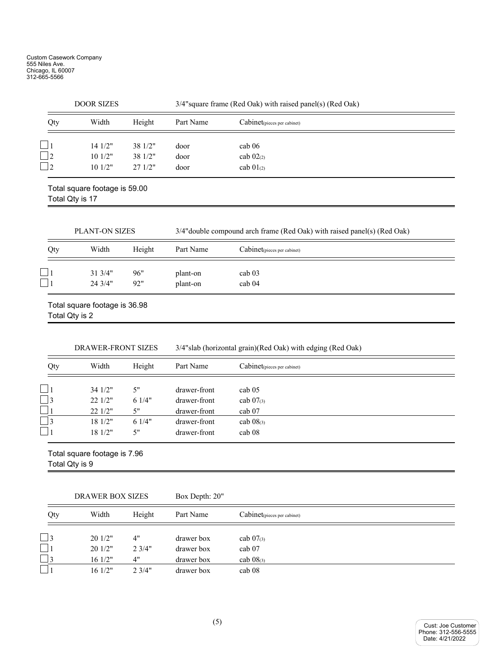| <b>DOOR SIZES</b> |                                                  |         | 3/4" square frame (Red Oak) with raised panel(s) (Red Oak) |                                                                          |  |
|-------------------|--------------------------------------------------|---------|------------------------------------------------------------|--------------------------------------------------------------------------|--|
| Qty               | Width                                            | Height  | Part Name                                                  | Cabinet(pieces per cabinet)                                              |  |
|                   | 14 1/2"                                          | 38 1/2" | door                                                       | cab 06                                                                   |  |
| $\overline{2}$    | 101/2"                                           | 38 1/2" | door                                                       | cab $02(2)$                                                              |  |
| $\overline{2}$    | 10 1/2"                                          | 27 1/2" | door                                                       | cab $01(2)$                                                              |  |
|                   | Total square footage is 59.00<br>Total Qty is 17 |         |                                                            |                                                                          |  |
|                   | PLANT-ON SIZES                                   |         |                                                            | 3/4" double compound arch frame (Red Oak) with raised panel(s) (Red Oak) |  |
| Qty               | Width                                            | Height  | Part Name                                                  | Cabinet <sub>(pieces per cabinet)</sub>                                  |  |
|                   | 31 3/4"                                          | 96"     | plant-on                                                   | cab 03                                                                   |  |
|                   | 24 3/4"                                          | 92"     | plant-on                                                   | cab 04                                                                   |  |
| Total Qty is 2    | Total square footage is 36.98                    |         |                                                            |                                                                          |  |
|                   | DRAWER-FRONT SIZES                               |         |                                                            | 3/4"slab (horizontal grain)(Red Oak) with edging (Red Oak)               |  |
| Qty               | Width                                            | Height  | Part Name                                                  | Cabinet <sub>(pieces per cabinet)</sub>                                  |  |
|                   | 34 1/2"                                          | 5"      | drawer-front                                               | cab 05                                                                   |  |
| 3                 | 22 1/2"                                          | 61/4"   | drawer-front                                               | cab 07(3)                                                                |  |
|                   | 22 1/2"                                          | 5"      | drawer-front                                               | cab 07                                                                   |  |
| 3                 | 18 1/2"                                          | 61/4"   | drawer-front                                               | cab $08$ (3)                                                             |  |
|                   | 18 1/2"                                          | 5"      | drawer-front                                               | cab 08                                                                   |  |
| Total Qty is 9    | Total square footage is 7.96                     |         |                                                            |                                                                          |  |
|                   | <b>DRAWER BOX SIZES</b>                          |         | Box Depth: 20"                                             |                                                                          |  |

| Qty | Width              | Height | Part Name  | Cabinet <sub>(pieces per cabinet)</sub> |  |
|-----|--------------------|--------|------------|-----------------------------------------|--|
|     | 201/2"             | 4"     | drawer box | cab $07_{(3)}$                          |  |
|     |                    |        |            |                                         |  |
|     | 201/2"             | 2.3/4" | drawer box | cab 07                                  |  |
| 3   | 161/2"             | 4"     | drawer box | cab $08_{(3)}$                          |  |
|     | $16 \frac{1}{2}$ " | 2.3/4" | drawer box | cab <sub>08</sub>                       |  |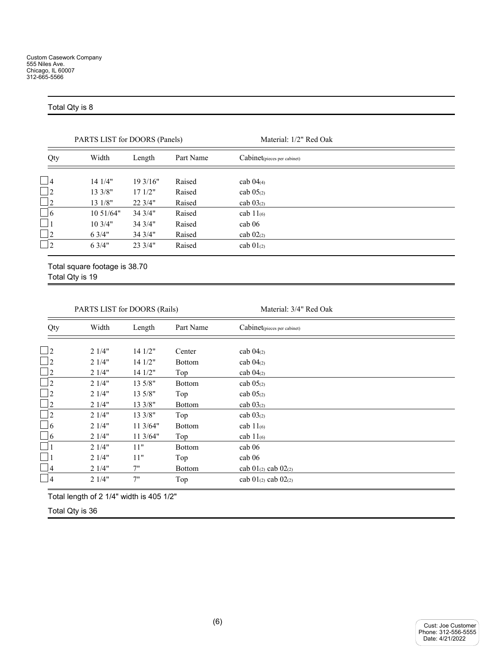## Total Qty is 8

|                | PARTS LIST for DOORS (Panels) |         |           | Material: 1/2" Red Oak      |
|----------------|-------------------------------|---------|-----------|-----------------------------|
| Qty            | Width                         | Length  | Part Name | Cabinet(pieces per cabinet) |
| $\blacksquare$ | 141/4"                        | 193/16" | Raised    | cab $04_{(4)}$              |
| $\Box$ 2       | 13 3/8"                       | 171/2"  | Raised    | cab $05(2)$                 |
| $\Box$ 2       | 13 1/8"                       | 223/4"  | Raised    | cab $03(2)$                 |
| $\square$ 6    | 10.51/64"                     | 34 3/4" | Raised    | cab $11_{(6)}$              |
| $\Box$ 1       | 10.3/4"                       | 34 3/4" | Raised    | cab 06                      |
| $\Box$ 2       | 6.3/4"                        | 34.3/4" | Raised    | cab $02_{(2)}$              |
| $\overline{2}$ | 6.3/4"                        | 233/4"  | Raised    | cab $01_{(2)}$              |
|                |                               |         |           |                             |

Total square footage is 38.70 Total Qty is 19

PARTS LIST for DOORS (Rails) Material: 3/4" Red Oak

| Qty                        | Width | Length   | Part Name     | Cabinet(pieces per cabinet)   |
|----------------------------|-------|----------|---------------|-------------------------------|
|                            |       |          |               |                               |
| $\Box$ 2                   | 21/4" | 14 1/2"  | Center        | cab $04_{(2)}$                |
| $\Box$ 2                   | 21/4" | 141/2"   | <b>Bottom</b> | cab $04_{(2)}$                |
| $\Box$ 2                   | 21/4" | 14 1/2"  | Top           | cab $04_{(2)}$                |
| $\Box$ 2                   | 21/4" | 13 5/8"  | <b>Bottom</b> | cab 05 <sub>(2)</sub>         |
| $\Box$ 2                   | 21/4" | 13 5/8"  | Top           | cab $05_{(2)}$                |
| $\square_2$                | 21/4" | 13 3/8"  | <b>Bottom</b> | cab $03_{(2)}$                |
| $\overline{\phantom{0}}$ 2 | 21/4" | 13 3/8"  | Top           | cab $03_{(2)}$                |
| $\Box$ 6                   | 21/4" | 113/64"  | <b>Bottom</b> | cab $11_{(6)}$                |
| $\Box$ 6                   | 21/4" | 11 3/64" | Top           | cab $11_{(6)}$                |
|                            | 21/4" | 11"      | <b>Bottom</b> | cab 06                        |
| $\Box$ 1                   | 21/4" | 11"      | Top           | cab 06                        |
| $\frac{1}{4}$              | 21/4" | 7"       | <b>Bottom</b> | cab $01_{(2)}$ cab $02_{(2)}$ |
| $\Box$ 4                   | 21/4" | 7"       | Top           | cab $01_{(2)}$ cab $02_{(2)}$ |

Total length of 2 1/4" width is 405 1/2"

Total Qty is 36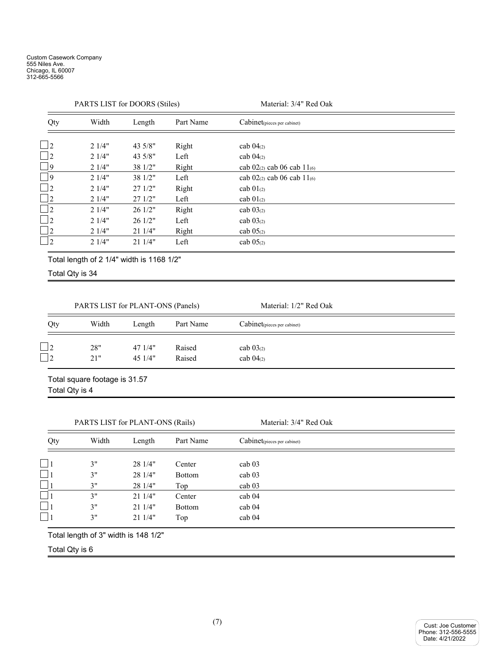|                          | PARTS LIST for DOORS (Stiles) |         |           | Material: 3/4" Red Oak               |  |
|--------------------------|-------------------------------|---------|-----------|--------------------------------------|--|
| Qty                      | Width                         | Length  | Part Name | Cabinet(pieces per cabinet)          |  |
| $\Box$ 2                 | 21/4"                         | 43 5/8" | Right     | cab $04_{(2)}$                       |  |
| $\Box$ 2                 | 21/4"                         | 43 5/8" | Left      | cab $04_{(2)}$                       |  |
| $\Box$ 9                 | 21/4"                         | 38 1/2" | Right     | cab $02_{(2)}$ cab 06 cab $11_{(6)}$ |  |
| $\overline{\phantom{a}}$ | 21/4"                         | 38 1/2" | Left      | cab $02_{(2)}$ cab 06 cab $11_{(6)}$ |  |
| $\Box$ 2                 | 21/4"                         | 271/2"  | Right     | cab $01_{(2)}$                       |  |
| $\Box$ 2                 | 21/4"                         | 271/2"  | Left      | cab $01_{(2)}$                       |  |
| $\Box$ 2                 | 21/4"                         | 26 1/2" | Right     | cab $03_{(2)}$                       |  |
| $\Box$ 2                 | 21/4"                         | 26 1/2" | Left      | cab $03(2)$                          |  |
| $\Box$ 2                 | 21/4"                         | 21 1/4" | Right     | cab $05(2)$                          |  |
| $\Box$ 2                 | 21/4"                         | 211/4"  | Left      | cab $05(2)$                          |  |

Total length of 2 1/4" width is 1168 1/2"

Total Qty is 34

|     | PARTS LIST for PLANT-ONS (Panels) |                  |                  | Material: 1/2" Red Oak        |  |
|-----|-----------------------------------|------------------|------------------|-------------------------------|--|
| Qty | Width                             | Length           | Part Name        | Cabinet(pieces per cabinet)   |  |
|     | 28"<br>21"                        | 471/4"<br>451/4" | Raised<br>Raised | cab $03(2)$<br>cab $04_{(2)}$ |  |

Total square footage is 31.57 Total Qty is 4

PARTS LIST for PLANT-ONS (Rails) Material: 3/4" Red Oak

| Qty       | Width | Length  | Part Name     | Cabinet(pieces per cabinet) |  |
|-----------|-------|---------|---------------|-----------------------------|--|
|           | 3"    | 28 1/4" | Center        | cab <sub>03</sub>           |  |
| 11        | 3"    | 28 1/4" | <b>Bottom</b> | cab <sub>03</sub>           |  |
|           | 3"    | 28 1/4" | Top           | cab <sub>03</sub>           |  |
| $\vert$ 1 | 3"    | 211/4"  | Center        | cab <sub>04</sub>           |  |
| $\vert$ 1 | 3"    | 211/4"  | <b>Bottom</b> | cab <sub>04</sub>           |  |
| $\Box$ 1  | 3"    | 211/4"  | Top           | cab <sub>04</sub>           |  |

Total Qty is 6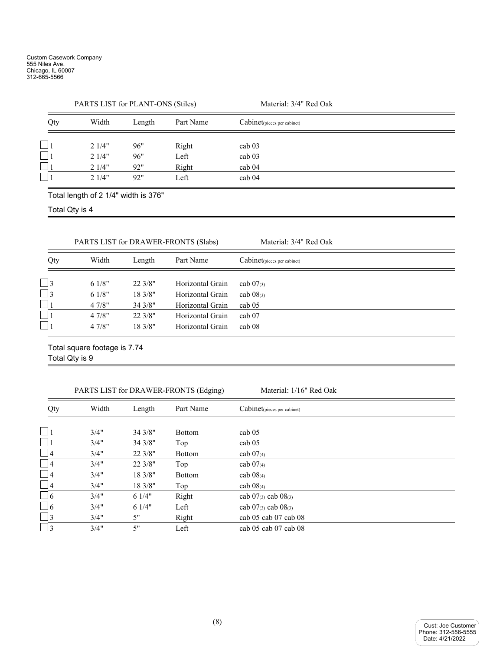|     | PARTS LIST for PLANT-ONS (Stiles) |        |           | Material: 3/4" Red Oak      |
|-----|-----------------------------------|--------|-----------|-----------------------------|
| Qty | Width                             | Length | Part Name | Cabinet(pieces per cabinet) |
|     | 21/4"                             | 96"    | Right     | cab <sub>03</sub>           |
|     | 21/4"                             | 96"    | Left      | cab <sub>03</sub>           |
|     | 21/4"                             | 92"    | Right     | cab 04                      |
|     | 2.1/4"                            | 92"    | Left      | cab <sub>04</sub>           |

Total length of 2 1/4" width is 376"

Total Qty is 4

PARTS LIST for DRAWER-FRONTS (Slabs) Material: 3/4" Red Oak

| Qty       | Width | Length  | Part Name        | Cabinet <sub>(pieces per cabinet)</sub> |
|-----------|-------|---------|------------------|-----------------------------------------|
| $\vert$ 3 | 61/8" | 22.3/8" | Horizontal Grain | cab $07_{(3)}$                          |
| $\Box$ 3  | 61/8" | 18.3/8" | Horizontal Grain | cab $08$ <sub>(3)</sub>                 |
|           | 47/8" | 34.3/8" | Horizontal Grain | cab <sub>05</sub>                       |
|           | 47/8" | 22.3/8" | Horizontal Grain | cab 07                                  |
|           | 47/8" | 18.3/8" | Horizontal Grain | cab 08                                  |

Total square footage is 7.74 Total Qty is 9

PARTS LIST for DRAWER-FRONTS (Edging) Material: 1/16" Red Oak

| Qty       | Width | Length  | Part Name     | Cabinet(pieces per cabinet)   |
|-----------|-------|---------|---------------|-------------------------------|
| $\vert$ 1 | 3/4"  |         |               |                               |
|           |       | 343/8"  | <b>Bottom</b> | cab <sub>05</sub>             |
| $\Box$    | 3/4"  | 34 3/8" | Top           | cab <sub>05</sub>             |
| $\Box$ 4  | 3/4"  | 22.3/8" | <b>Bottom</b> | cab $07_{(4)}$                |
| $\Box$ 4  | 3/4"  | 22 3/8" | Top           | cab $07_{(4)}$                |
| $\Box$ 4  | 3/4"  | 183/8"  | <b>Bottom</b> | cab $08_{(4)}$                |
| $\Box$ 4  | 3/4"  | 18.3/8" | Top           | cab $08(4)$                   |
| $\Box$ 6  | 3/4"  | 61/4"   | Right         | cab $07_{(3)}$ cab $08_{(3)}$ |
| $\Box$ 6  | 3/4"  | 61/4"   | Left          | cab $07_{(3)}$ cab $08_{(3)}$ |
| $\Box$ 3  | 3/4"  | 5"      | Right         | cab 05 cab 07 cab 08          |
| $\Box$ 3  | 3/4"  | 5"      | Left          | cab 05 cab 07 cab 08          |